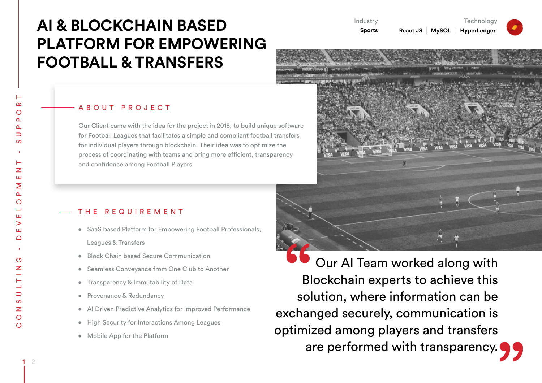# **AI & BLOCKCHAIN BASED PLATFORM FOR EMPOWERING FOOTBALL & TRANSFERS**

### ABOUT PROJECT

Our Client came with the idea for the project in 2018, to build unique software for Football Leagues that facilitates a simple and compliant football transfers for individual players through blockchain. Their idea was to optimize the process of coordinating with teams and bring more efficient, transparency and confidence among Football Players.

## THE REQUIREMENT

- SaaS based Platform for Empowering Football Professionals, Leagues & Transfers
- Block Chain based Secure Communication
- • Seamless Conveyance from One Club to Another
- • Transparency & Immutability of Data
- Provenance & Redundancy
- Al Driven Predictive Analytics for Improved Performance
- High Security for Interactions Among Leagues
- Mobile App for the Platform

 Our AI Team worked along with Blockchain experts to achieve this solution, where information can be exchanged securely, communication is optimized among players and transfers are performed with transparency.



**Technology** 

**React JS MySQL HyperLedger**

Industry **Sports**